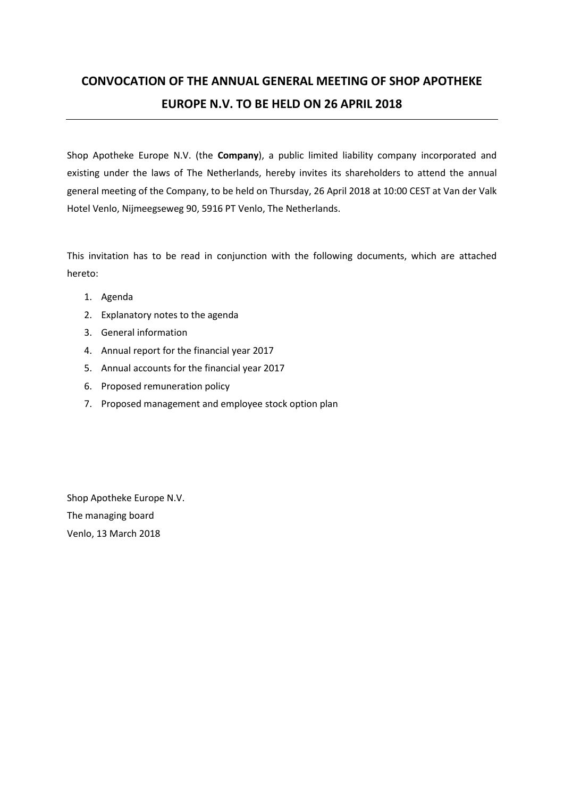# **CONVOCATION OF THE ANNUAL GENERAL MEETING OF SHOP APOTHEKE EUROPE N.V. TO BE HELD ON 26 APRIL 2018**

Shop Apotheke Europe N.V. (the **Company**), a public limited liability company incorporated and existing under the laws of The Netherlands, hereby invites its shareholders to attend the annual general meeting of the Company, to be held on Thursday, 26 April 2018 at 10:00 CEST at Van der Valk Hotel Venlo, Nijmeegseweg 90, 5916 PT Venlo, The Netherlands.

This invitation has to be read in conjunction with the following documents, which are attached hereto:

- 1. Agenda
- 2. Explanatory notes to the agenda
- 3. General information
- 4. Annual report for the financial year 2017
- 5. Annual accounts for the financial year 2017
- 6. Proposed remuneration policy
- 7. Proposed management and employee stock option plan

Shop Apotheke Europe N.V. The managing board Venlo, 13 March 2018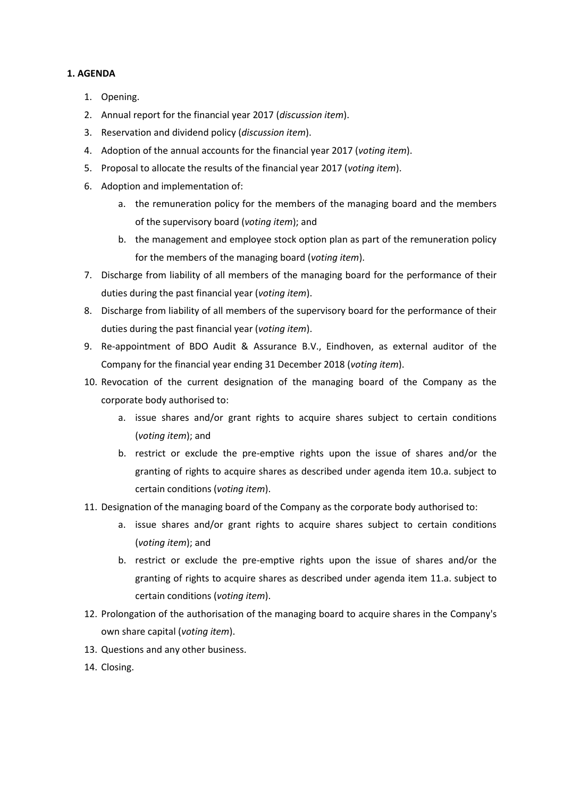### **1. AGENDA**

- 1. Opening.
- 2. Annual report for the financial year 2017 (*discussion item*).
- 3. Reservation and dividend policy (*discussion item*).
- 4. Adoption of the annual accounts for the financial year 2017 (*voting item*).
- 5. Proposal to allocate the results of the financial year 2017 (*voting item*).
- 6. Adoption and implementation of:
	- a. the remuneration policy for the members of the managing board and the members of the supervisory board (*voting item*); and
	- b. the management and employee stock option plan as part of the remuneration policy for the members of the managing board (*voting item*).
- 7. Discharge from liability of all members of the managing board for the performance of their duties during the past financial year (*voting item*).
- 8. Discharge from liability of all members of the supervisory board for the performance of their duties during the past financial year (*voting item*).
- 9. Re-appointment of BDO Audit & Assurance B.V., Eindhoven, as external auditor of the Company for the financial year ending 31 December 2018 (*voting item*).
- 10. Revocation of the current designation of the managing board of the Company as the corporate body authorised to:
	- a. issue shares and/or grant rights to acquire shares subject to certain conditions (*voting item*); and
	- b. restrict or exclude the pre-emptive rights upon the issue of shares and/or the granting of rights to acquire shares as described under agenda item 10.a. subject to certain conditions (*voting item*).
- 11. Designation of the managing board of the Company as the corporate body authorised to:
	- a. issue shares and/or grant rights to acquire shares subject to certain conditions (*voting item*); and
	- b. restrict or exclude the pre-emptive rights upon the issue of shares and/or the granting of rights to acquire shares as described under agenda item 11.a. subject to certain conditions (*voting item*).
- 12. Prolongation of the authorisation of the managing board to acquire shares in the Company's own share capital (*voting item*).
- 13. Questions and any other business.
- 14. Closing.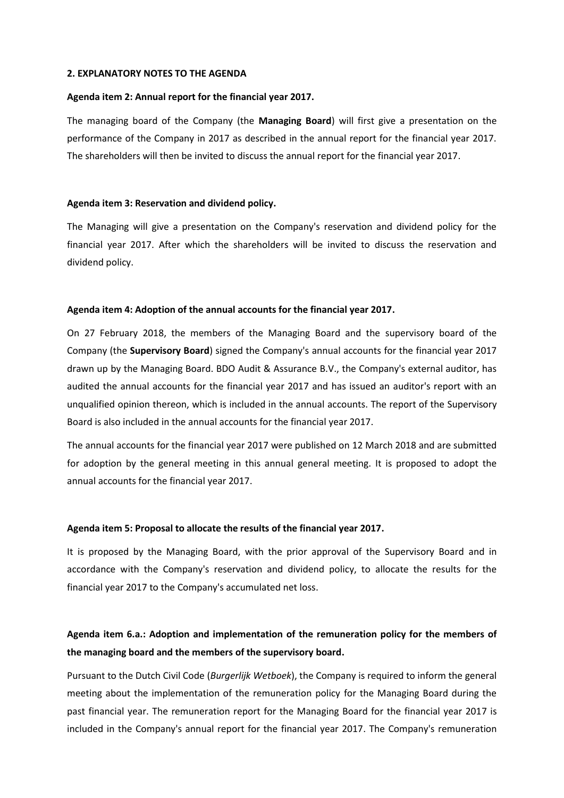### **2. EXPLANATORY NOTES TO THE AGENDA**

### **Agenda item 2: Annual report for the financial year 2017.**

The managing board of the Company (the **Managing Board**) will first give a presentation on the performance of the Company in 2017 as described in the annual report for the financial year 2017. The shareholders will then be invited to discuss the annual report for the financial year 2017.

### **Agenda item 3: Reservation and dividend policy.**

The Managing will give a presentation on the Company's reservation and dividend policy for the financial year 2017. After which the shareholders will be invited to discuss the reservation and dividend policy.

### **Agenda item 4: Adoption of the annual accounts for the financial year 2017.**

On 27 February 2018, the members of the Managing Board and the supervisory board of the Company (the **Supervisory Board**) signed the Company's annual accounts for the financial year 2017 drawn up by the Managing Board. BDO Audit & Assurance B.V., the Company's external auditor, has audited the annual accounts for the financial year 2017 and has issued an auditor's report with an unqualified opinion thereon, which is included in the annual accounts. The report of the Supervisory Board is also included in the annual accounts for the financial year 2017.

The annual accounts for the financial year 2017 were published on 12 March 2018 and are submitted for adoption by the general meeting in this annual general meeting. It is proposed to adopt the annual accounts for the financial year 2017.

### **Agenda item 5: Proposal to allocate the results of the financial year 2017.**

It is proposed by the Managing Board, with the prior approval of the Supervisory Board and in accordance with the Company's reservation and dividend policy, to allocate the results for the financial year 2017 to the Company's accumulated net loss.

# **Agenda item 6.a.: Adoption and implementation of the remuneration policy for the members of the managing board and the members of the supervisory board.**

Pursuant to the Dutch Civil Code (*Burgerlijk Wetboek*), the Company is required to inform the general meeting about the implementation of the remuneration policy for the Managing Board during the past financial year. The remuneration report for the Managing Board for the financial year 2017 is included in the Company's annual report for the financial year 2017. The Company's remuneration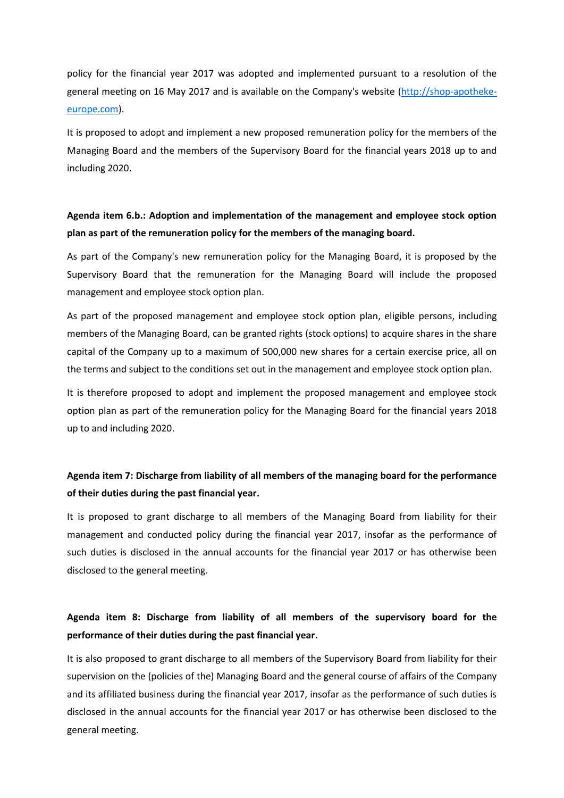policy for the financial year 2017 was adopted and implemented pursuant to a resolution of the general meeting on 16 May 2017 and is available on the Company's website [\(http://shop-apotheke](http://shop-apotheke-europe.com/)[europe.com\)](http://shop-apotheke-europe.com/).

It is proposed to adopt and implement a new proposed remuneration policy for the members of the Managing Board and the members of the Supervisory Board for the financial years 2018 up to and including 2020.

### **Agenda item 6.b.: Adoption and implementation of the management and employee stock option plan as part of the remuneration policy for the members of the managing board.**

As part of the Company's new remuneration policy for the Managing Board, it is proposed by the Supervisory Board that the remuneration for the Managing Board will include the proposed management and employee stock option plan.

As part of the proposed management and employee stock option plan, eligible persons, including members of the Managing Board, can be granted rights (stock options) to acquire shares in the share capital of the Company up to a maximum of 500,000 new shares for a certain exercise price, all on the terms and subject to the conditions set out in the management and employee stock option plan.

It is therefore proposed to adopt and implement the proposed management and employee stock option plan as part of the remuneration policy for the Managing Board for the financial years 2018 up to and including 2020.

# **Agenda item 7: Discharge from liability of all members of the managing board for the performance of their duties during the past financial year.**

It is proposed to grant discharge to all members of the Managing Board from liability for their management and conducted policy during the financial year 2017, insofar as the performance of such duties is disclosed in the annual accounts for the financial year 2017 or has otherwise been disclosed to the general meeting.

# **Agenda item 8: Discharge from liability of all members of the supervisory board for the performance of their duties during the past financial year.**

It is also proposed to grant discharge to all members of the Supervisory Board from liability for their supervision on the (policies of the) Managing Board and the general course of affairs of the Company and its affiliated business during the financial year 2017, insofar as the performance of such duties is disclosed in the annual accounts for the financial year 2017 or has otherwise been disclosed to the general meeting.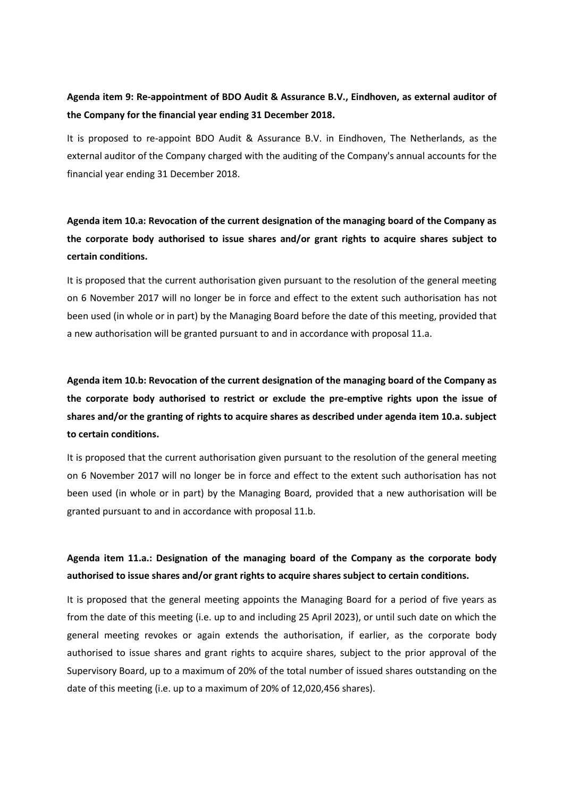### **Agenda item 9: Re-appointment of BDO Audit & Assurance B.V., Eindhoven, as external auditor of the Company for the financial year ending 31 December 2018.**

It is proposed to re-appoint BDO Audit & Assurance B.V. in Eindhoven, The Netherlands, as the external auditor of the Company charged with the auditing of the Company's annual accounts for the financial year ending 31 December 2018.

**Agenda item 10.a: Revocation of the current designation of the managing board of the Company as the corporate body authorised to issue shares and/or grant rights to acquire shares subject to certain conditions.**

It is proposed that the current authorisation given pursuant to the resolution of the general meeting on 6 November 2017 will no longer be in force and effect to the extent such authorisation has not been used (in whole or in part) by the Managing Board before the date of this meeting, provided that a new authorisation will be granted pursuant to and in accordance with proposal 11.a.

**Agenda item 10.b: Revocation of the current designation of the managing board of the Company as the corporate body authorised to restrict or exclude the pre-emptive rights upon the issue of shares and/or the granting of rights to acquire shares as described under agenda item 10.a. subject to certain conditions.**

It is proposed that the current authorisation given pursuant to the resolution of the general meeting on 6 November 2017 will no longer be in force and effect to the extent such authorisation has not been used (in whole or in part) by the Managing Board, provided that a new authorisation will be granted pursuant to and in accordance with proposal 11.b.

# **Agenda item 11.a.: Designation of the managing board of the Company as the corporate body authorised to issue shares and/or grant rights to acquire shares subject to certain conditions.**

It is proposed that the general meeting appoints the Managing Board for a period of five years as from the date of this meeting (i.e. up to and including 25 April 2023), or until such date on which the general meeting revokes or again extends the authorisation, if earlier, as the corporate body authorised to issue shares and grant rights to acquire shares, subject to the prior approval of the Supervisory Board, up to a maximum of 20% of the total number of issued shares outstanding on the date of this meeting (i.e. up to a maximum of 20% of 12,020,456 shares).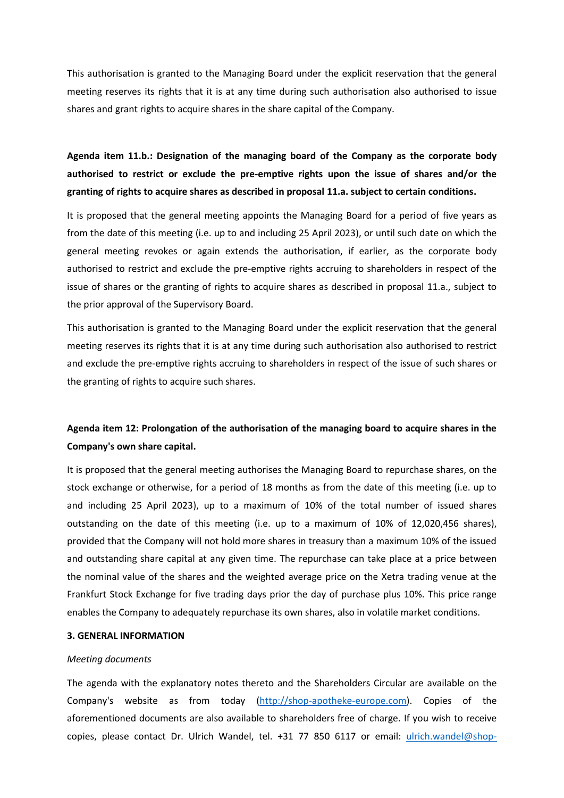This authorisation is granted to the Managing Board under the explicit reservation that the general meeting reserves its rights that it is at any time during such authorisation also authorised to issue shares and grant rights to acquire shares in the share capital of the Company.

# **Agenda item 11.b.: Designation of the managing board of the Company as the corporate body authorised to restrict or exclude the pre-emptive rights upon the issue of shares and/or the granting of rights to acquire shares as described in proposal 11.a. subject to certain conditions.**

It is proposed that the general meeting appoints the Managing Board for a period of five years as from the date of this meeting (i.e. up to and including 25 April 2023), or until such date on which the general meeting revokes or again extends the authorisation, if earlier, as the corporate body authorised to restrict and exclude the pre-emptive rights accruing to shareholders in respect of the issue of shares or the granting of rights to acquire shares as described in proposal 11.a., subject to the prior approval of the Supervisory Board.

This authorisation is granted to the Managing Board under the explicit reservation that the general meeting reserves its rights that it is at any time during such authorisation also authorised to restrict and exclude the pre-emptive rights accruing to shareholders in respect of the issue of such shares or the granting of rights to acquire such shares.

# **Agenda item 12: Prolongation of the authorisation of the managing board to acquire shares in the Company's own share capital.**

It is proposed that the general meeting authorises the Managing Board to repurchase shares, on the stock exchange or otherwise, for a period of 18 months as from the date of this meeting (i.e. up to and including 25 April 2023), up to a maximum of 10% of the total number of issued shares outstanding on the date of this meeting (i.e. up to a maximum of 10% of 12,020,456 shares), provided that the Company will not hold more shares in treasury than a maximum 10% of the issued and outstanding share capital at any given time. The repurchase can take place at a price between the nominal value of the shares and the weighted average price on the Xetra trading venue at the Frankfurt Stock Exchange for five trading days prior the day of purchase plus 10%. This price range enables the Company to adequately repurchase its own shares, also in volatile market conditions.

### **3. GENERAL INFORMATION**

### *Meeting documents*

The agenda with the explanatory notes thereto and the Shareholders Circular are available on the Company's website as from today [\(http://shop-apotheke-europe.com\)](http://shop-apotheke-europe.com/). Copies of the aforementioned documents are also available to shareholders free of charge. If you wish to receive copies, please contact Dr. Ulrich Wandel, tel. +31 77 850 6117 or email: [ulrich.wandel@shop-](mailto:ulrich.wandel@shop-apotheke.com)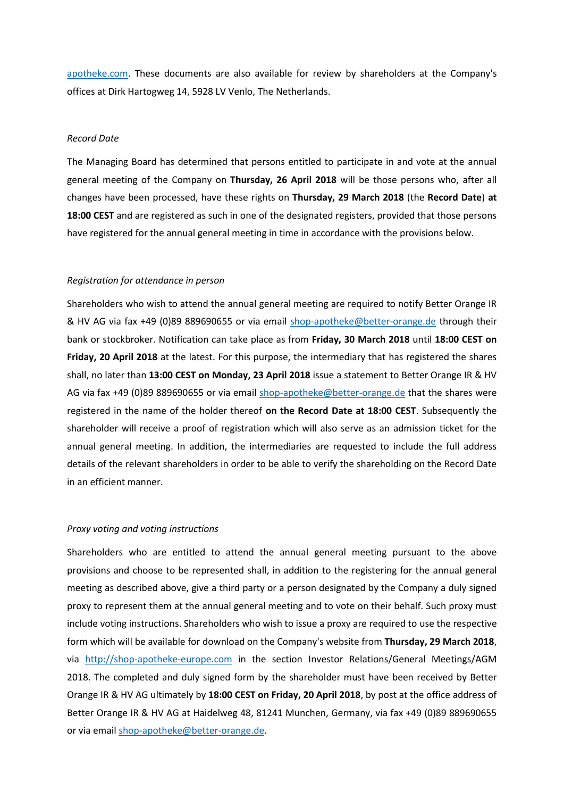[apotheke.com.](mailto:ulrich.wandel@shop-apotheke.com) These documents are also available for review by shareholders at the Company's offices at Dirk Hartogweg 14, 5928 LV Venlo, The Netherlands.

### *Record Date*

The Managing Board has determined that persons entitled to participate in and vote at the annual general meeting of the Company on **Thursday, 26 April 2018** will be those persons who, after all changes have been processed, have these rights on **Thursday, 29 March 2018** (the **Record Date**) **at 18:00 CEST** and are registered as such in one of the designated registers, provided that those persons have registered for the annual general meeting in time in accordance with the provisions below.

### *Registration for attendance in person*

Shareholders who wish to attend the annual general meeting are required to notify Better Orange IR & HV AG via fax +49 (0)89 889690655 or via email [shop-apotheke@better-orange.de](mailto:shop-apotheke@better-orange.de) through their bank or stockbroker. Notification can take place as from **Friday, 30 March 2018** until **18:00 CEST on Friday, 20 April 2018** at the latest. For this purpose, the intermediary that has registered the shares shall, no later than **13:00 CEST on Monday, 23 April 2018** issue a statement to Better Orange IR & HV AG via fax +49 (0)89 889690655 or via email [shop-apotheke@better-orange.de](mailto:shop-apotheke@better-orange.de) that the shares were registered in the name of the holder thereof **on the Record Date at 18:00 CEST**. Subsequently the shareholder will receive a proof of registration which will also serve as an admission ticket for the annual general meeting. In addition, the intermediaries are requested to include the full address details of the relevant shareholders in order to be able to verify the shareholding on the Record Date in an efficient manner.

#### *Proxy voting and voting instructions*

Shareholders who are entitled to attend the annual general meeting pursuant to the above provisions and choose to be represented shall, in addition to the registering for the annual general meeting as described above, give a third party or a person designated by the Company a duly signed proxy to represent them at the annual general meeting and to vote on their behalf. Such proxy must include voting instructions. Shareholders who wish to issue a proxy are required to use the respective form which will be available for download on the Company's website from **Thursday, 29 March 2018**, via [http://shop-apotheke-europe.com](http://shop-apotheke-europe.com/) in the section Investor Relations/General Meetings/AGM 2018. The completed and duly signed form by the shareholder must have been received by Better Orange IR & HV AG ultimately by **18:00 CEST on Friday, 20 April 2018**, by post at the office address of Better Orange IR & HV AG at Haidelweg 48, 81241 Munchen, Germany, via fax +49 (0)89 889690655 or via email [shop-apotheke@better-orange.de.](mailto:shop-apotheke@better-orange.de)